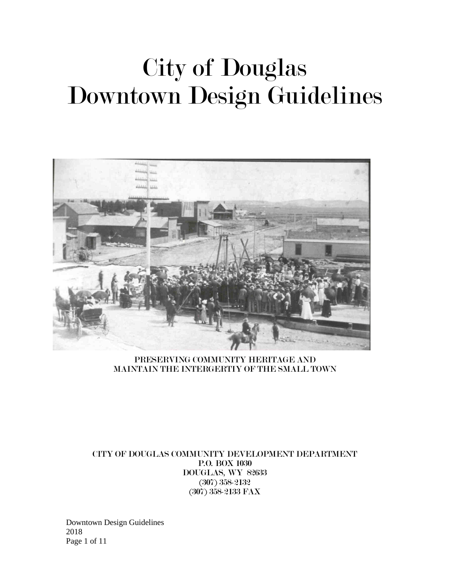# City of Douglas Downtown Design Guidelines



PRESERVING COMMUNITY HERITAGE AND MAINTAIN THE INTERGERTIY OF THE SMALL TOWN

CITY OF DOUGLAS COMMUNITY DEVELOPMENT DEPARTMENT P.O. BOX 1030 DOUGLAS, WY 82633 (307) 358-2132 (307) 358-2133 FAX

Downtown Design Guidelines 2018 Page 1 of 11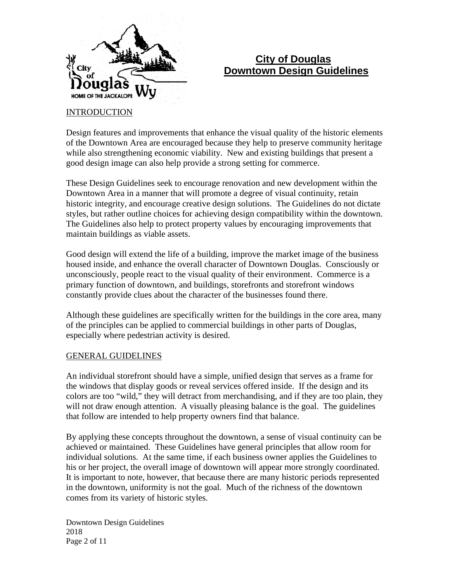

# **City of Douglas Downtown Design Guidelines**

#### **INTRODUCTION**

Design features and improvements that enhance the visual quality of the historic elements of the Downtown Area are encouraged because they help to preserve community heritage while also strengthening economic viability. New and existing buildings that present a good design image can also help provide a strong setting for commerce.

These Design Guidelines seek to encourage renovation and new development within the Downtown Area in a manner that will promote a degree of visual continuity, retain historic integrity, and encourage creative design solutions. The Guidelines do not dictate styles, but rather outline choices for achieving design compatibility within the downtown. The Guidelines also help to protect property values by encouraging improvements that maintain buildings as viable assets.

Good design will extend the life of a building, improve the market image of the business housed inside, and enhance the overall character of Downtown Douglas. Consciously or unconsciously, people react to the visual quality of their environment. Commerce is a primary function of downtown, and buildings, storefronts and storefront windows constantly provide clues about the character of the businesses found there.

Although these guidelines are specifically written for the buildings in the core area, many of the principles can be applied to commercial buildings in other parts of Douglas, especially where pedestrian activity is desired.

#### GENERAL GUIDELINES

An individual storefront should have a simple, unified design that serves as a frame for the windows that display goods or reveal services offered inside. If the design and its colors are too "wild," they will detract from merchandising, and if they are too plain, they will not draw enough attention. A visually pleasing balance is the goal. The guidelines that follow are intended to help property owners find that balance.

By applying these concepts throughout the downtown, a sense of visual continuity can be achieved or maintained. These Guidelines have general principles that allow room for individual solutions. At the same time, if each business owner applies the Guidelines to his or her project, the overall image of downtown will appear more strongly coordinated. It is important to note, however, that because there are many historic periods represented in the downtown, uniformity is not the goal. Much of the richness of the downtown comes from its variety of historic styles.

Downtown Design Guidelines 2018 Page 2 of 11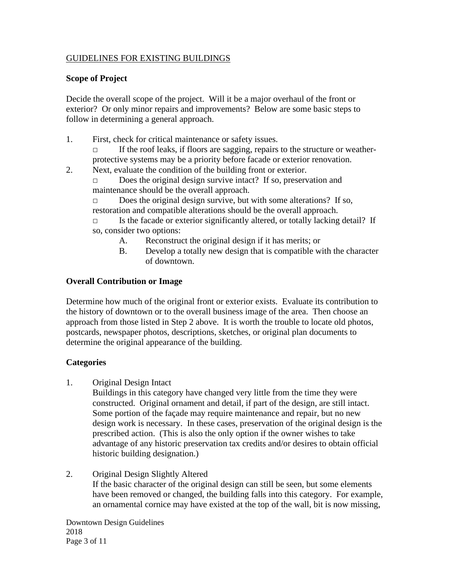# GUIDELINES FOR EXISTING BUILDINGS

#### **Scope of Project**

Decide the overall scope of the project. Will it be a major overhaul of the front or exterior? Or only minor repairs and improvements? Below are some basic steps to follow in determining a general approach.

- 1. First, check for critical maintenance or safety issues.
	- If the roof leaks, if floors are sagging, repairs to the structure or weatherprotective systems may be a priority before facade or exterior renovation.
- 2. Next, evaluate the condition of the building front or exterior.

□ Does the original design survive intact? If so, preservation and maintenance should be the overall approach.

□ Does the original design survive, but with some alterations? If so, restoration and compatible alterations should be the overall approach.

 $\Box$  Is the facade or exterior significantly altered, or totally lacking detail? If so, consider two options:

- A. Reconstruct the original design if it has merits; or
- B. Develop a totally new design that is compatible with the character of downtown.

# **Overall Contribution or Image**

Determine how much of the original front or exterior exists. Evaluate its contribution to the history of downtown or to the overall business image of the area. Then choose an approach from those listed in Step 2 above. It is worth the trouble to locate old photos, postcards, newspaper photos, descriptions, sketches, or original plan documents to determine the original appearance of the building.

# **Categories**

1. Original Design Intact

Buildings in this category have changed very little from the time they were constructed. Original ornament and detail, if part of the design, are still intact. Some portion of the façade may require maintenance and repair, but no new design work is necessary. In these cases, preservation of the original design is the prescribed action. (This is also the only option if the owner wishes to take advantage of any historic preservation tax credits and/or desires to obtain official historic building designation.)

#### 2. Original Design Slightly Altered

If the basic character of the original design can still be seen, but some elements have been removed or changed, the building falls into this category. For example, an ornamental cornice may have existed at the top of the wall, bit is now missing,

Downtown Design Guidelines 2018 Page 3 of 11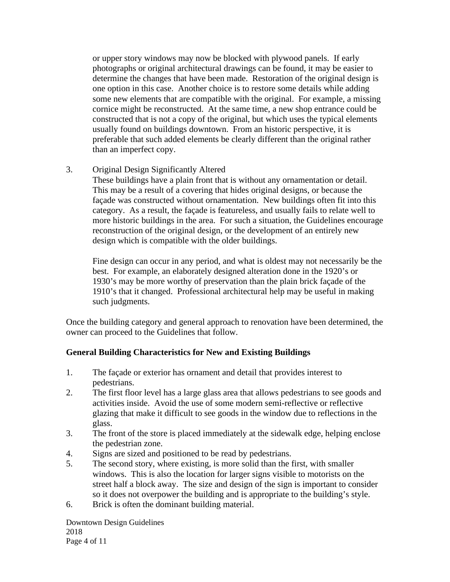or upper story windows may now be blocked with plywood panels. If early photographs or original architectural drawings can be found, it may be easier to determine the changes that have been made. Restoration of the original design is one option in this case. Another choice is to restore some details while adding some new elements that are compatible with the original. For example, a missing cornice might be reconstructed. At the same time, a new shop entrance could be constructed that is not a copy of the original, but which uses the typical elements usually found on buildings downtown. From an historic perspective, it is preferable that such added elements be clearly different than the original rather than an imperfect copy.

# 3. Original Design Significantly Altered

These buildings have a plain front that is without any ornamentation or detail. This may be a result of a covering that hides original designs, or because the façade was constructed without ornamentation. New buildings often fit into this category. As a result, the façade is featureless, and usually fails to relate well to more historic buildings in the area. For such a situation, the Guidelines encourage reconstruction of the original design, or the development of an entirely new design which is compatible with the older buildings.

Fine design can occur in any period, and what is oldest may not necessarily be the best. For example, an elaborately designed alteration done in the 1920's or 1930's may be more worthy of preservation than the plain brick façade of the 1910's that it changed. Professional architectural help may be useful in making such judgments.

Once the building category and general approach to renovation have been determined, the owner can proceed to the Guidelines that follow.

#### **General Building Characteristics for New and Existing Buildings**

- 1. The façade or exterior has ornament and detail that provides interest to pedestrians.
- 2. The first floor level has a large glass area that allows pedestrians to see goods and activities inside. Avoid the use of some modern semi-reflective or reflective glazing that make it difficult to see goods in the window due to reflections in the glass.
- 3. The front of the store is placed immediately at the sidewalk edge, helping enclose the pedestrian zone.
- 4. Signs are sized and positioned to be read by pedestrians.
- 5. The second story, where existing, is more solid than the first, with smaller windows. This is also the location for larger signs visible to motorists on the street half a block away. The size and design of the sign is important to consider so it does not overpower the building and is appropriate to the building's style.
- 6. Brick is often the dominant building material.

Downtown Design Guidelines 2018 Page 4 of 11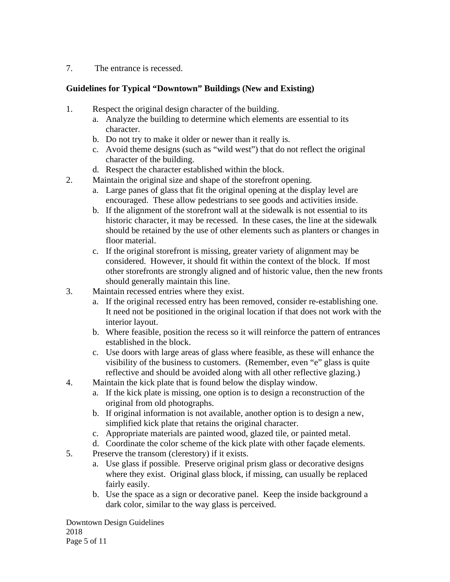7. The entrance is recessed.

# **Guidelines for Typical "Downtown" Buildings (New and Existing)**

- 1. Respect the original design character of the building.
	- a. Analyze the building to determine which elements are essential to its character.
	- b. Do not try to make it older or newer than it really is.
	- c. Avoid theme designs (such as "wild west") that do not reflect the original character of the building.
	- d. Respect the character established within the block.
- 2. Maintain the original size and shape of the storefront opening.
	- a. Large panes of glass that fit the original opening at the display level are encouraged. These allow pedestrians to see goods and activities inside.
	- b. If the alignment of the storefront wall at the sidewalk is not essential to its historic character, it may be recessed. In these cases, the line at the sidewalk should be retained by the use of other elements such as planters or changes in floor material.
	- c. If the original storefront is missing, greater variety of alignment may be considered. However, it should fit within the context of the block. If most other storefronts are strongly aligned and of historic value, then the new fronts should generally maintain this line.
- 3. Maintain recessed entries where they exist.
	- a. If the original recessed entry has been removed, consider re-establishing one. It need not be positioned in the original location if that does not work with the interior layout.
	- b. Where feasible, position the recess so it will reinforce the pattern of entrances established in the block.
	- c. Use doors with large areas of glass where feasible, as these will enhance the visibility of the business to customers. (Remember, even "e" glass is quite reflective and should be avoided along with all other reflective glazing.)
- 4. Maintain the kick plate that is found below the display window.
	- a. If the kick plate is missing, one option is to design a reconstruction of the original from old photographs.
	- b. If original information is not available, another option is to design a new, simplified kick plate that retains the original character.
	- c. Appropriate materials are painted wood, glazed tile, or painted metal.
	- d. Coordinate the color scheme of the kick plate with other façade elements.
- 5. Preserve the transom (clerestory) if it exists.
	- a. Use glass if possible. Preserve original prism glass or decorative designs where they exist. Original glass block, if missing, can usually be replaced fairly easily.
	- b. Use the space as a sign or decorative panel. Keep the inside background a dark color, similar to the way glass is perceived.

Downtown Design Guidelines 2018 Page 5 of 11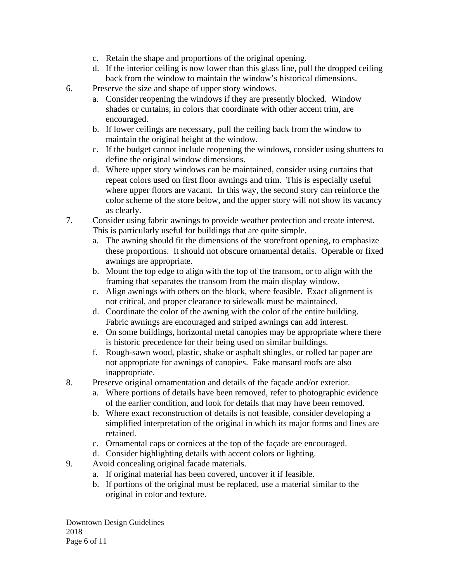- c. Retain the shape and proportions of the original opening.
- d. If the interior ceiling is now lower than this glass line, pull the dropped ceiling back from the window to maintain the window's historical dimensions.
- 6. Preserve the size and shape of upper story windows.
	- a. Consider reopening the windows if they are presently blocked. Window shades or curtains, in colors that coordinate with other accent trim, are encouraged.
	- b. If lower ceilings are necessary, pull the ceiling back from the window to maintain the original height at the window.
	- c. If the budget cannot include reopening the windows, consider using shutters to define the original window dimensions.
	- d. Where upper story windows can be maintained, consider using curtains that repeat colors used on first floor awnings and trim. This is especially useful where upper floors are vacant. In this way, the second story can reinforce the color scheme of the store below, and the upper story will not show its vacancy as clearly.
- 7. Consider using fabric awnings to provide weather protection and create interest. This is particularly useful for buildings that are quite simple.
	- a. The awning should fit the dimensions of the storefront opening, to emphasize these proportions. It should not obscure ornamental details. Operable or fixed awnings are appropriate.
	- b. Mount the top edge to align with the top of the transom, or to align with the framing that separates the transom from the main display window.
	- c. Align awnings with others on the block, where feasible. Exact alignment is not critical, and proper clearance to sidewalk must be maintained.
	- d. Coordinate the color of the awning with the color of the entire building. Fabric awnings are encouraged and striped awnings can add interest.
	- e. On some buildings, horizontal metal canopies may be appropriate where there is historic precedence for their being used on similar buildings.
	- f. Rough-sawn wood, plastic, shake or asphalt shingles, or rolled tar paper are not appropriate for awnings of canopies. Fake mansard roofs are also inappropriate.
- 8. Preserve original ornamentation and details of the façade and/or exterior.
	- a. Where portions of details have been removed, refer to photographic evidence of the earlier condition, and look for details that may have been removed.
	- b. Where exact reconstruction of details is not feasible, consider developing a simplified interpretation of the original in which its major forms and lines are retained.
	- c. Ornamental caps or cornices at the top of the façade are encouraged.
	- d. Consider highlighting details with accent colors or lighting.
- 9. Avoid concealing original facade materials.
	- a. If original material has been covered, uncover it if feasible.
	- b. If portions of the original must be replaced, use a material similar to the original in color and texture.

Downtown Design Guidelines 2018 Page 6 of 11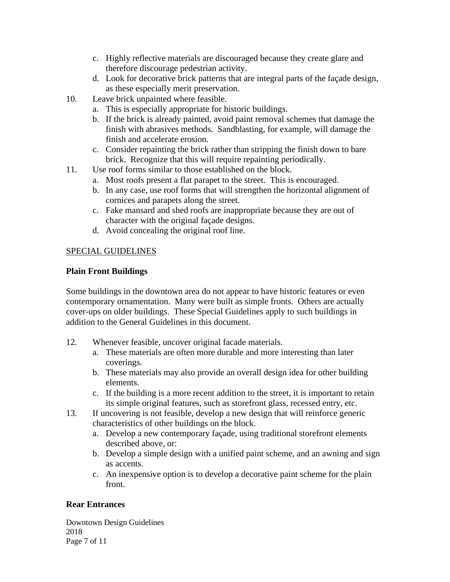- c. Highly reflective materials are discouraged because they create glare and therefore discourage pedestrian activity.
- d. Look for decorative brick patterns that are integral parts of the façade design, as these especially merit preservation.
- 10. Leave brick unpainted where feasible.
	- a. This is especially appropriate for historic buildings.
	- b. If the brick is already painted, avoid paint removal schemes that damage the finish with abrasives methods. Sandblasting, for example, will damage the finish and accelerate erosion.
	- c. Consider repainting the brick rather than stripping the finish down to bare brick. Recognize that this will require repainting periodically.
- 11. Use roof forms similar to those established on the block.
	- a. Most roofs present a flat parapet to the street. This is encouraged.
	- b. In any case, use roof forms that will strengthen the horizontal alignment of cornices and parapets along the street.
	- c. Fake mansard and shed roofs are inappropriate because they are out of character with the original façade designs.
	- d. Avoid concealing the original roof line.

# SPECIAL GUIDELINES

# **Plain Front Buildings**

Some buildings in the downtown area do not appear to have historic features or even contemporary ornamentation. Many were built as simple fronts. Others are actually cover-ups on older buildings. These Special Guidelines apply to such buildings in addition to the General Guidelines in this document.

- 12. Whenever feasible, uncover original facade materials.
	- a. These materials are often more durable and more interesting than later coverings.
	- b. These materials may also provide an overall design idea for other building elements.
	- c. If the building is a more recent addition to the street, it is important to retain its simple original features, such as storefront glass, recessed entry, etc.
- 13. If uncovering is not feasible, develop a new design that will reinforce generic characteristics of other buildings on the block.
	- a. Develop a new contemporary façade, using traditional storefront elements described above, or:
	- b. Develop a simple design with a unified paint scheme, and an awning and sign as accents.
	- c. An inexpensive option is to develop a decorative paint scheme for the plain front.

# **Rear Entrances**

Downtown Design Guidelines 2018 Page 7 of 11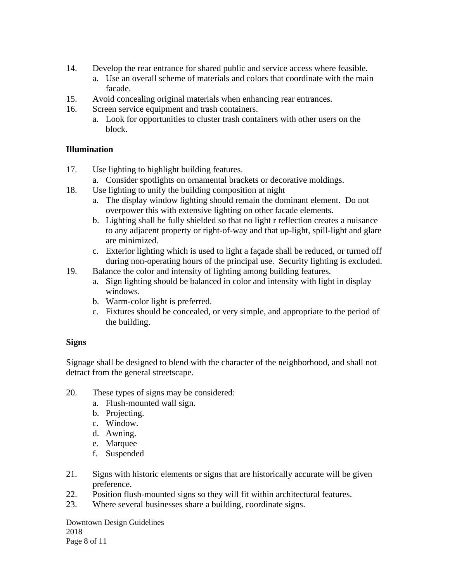- 14. Develop the rear entrance for shared public and service access where feasible.
	- a. Use an overall scheme of materials and colors that coordinate with the main facade.
- 15. Avoid concealing original materials when enhancing rear entrances.
- 16. Screen service equipment and trash containers.
	- a. Look for opportunities to cluster trash containers with other users on the block.

# **Illumination**

- 17. Use lighting to highlight building features.
	- a. Consider spotlights on ornamental brackets or decorative moldings.
- 18. Use lighting to unify the building composition at night
	- a. The display window lighting should remain the dominant element. Do not overpower this with extensive lighting on other facade elements.
	- b. Lighting shall be fully shielded so that no light r reflection creates a nuisance to any adjacent property or right-of-way and that up-light, spill-light and glare are minimized.
	- c. Exterior lighting which is used to light a façade shall be reduced, or turned off during non-operating hours of the principal use. Security lighting is excluded.
- 19. Balance the color and intensity of lighting among building features.
	- a. Sign lighting should be balanced in color and intensity with light in display windows.
	- b. Warm-color light is preferred.
	- c. Fixtures should be concealed, or very simple, and appropriate to the period of the building.

# **Signs**

Signage shall be designed to blend with the character of the neighborhood, and shall not detract from the general streetscape.

- 20. These types of signs may be considered:
	- a. Flush-mounted wall sign.
	- b. Projecting.
	- c. Window.
	- d. Awning.
	- e. Marquee
	- f. Suspended
- 21. Signs with historic elements or signs that are historically accurate will be given preference.
- 22. Position flush-mounted signs so they will fit within architectural features.
- 23. Where several businesses share a building, coordinate signs.

Downtown Design Guidelines 2018 Page 8 of 11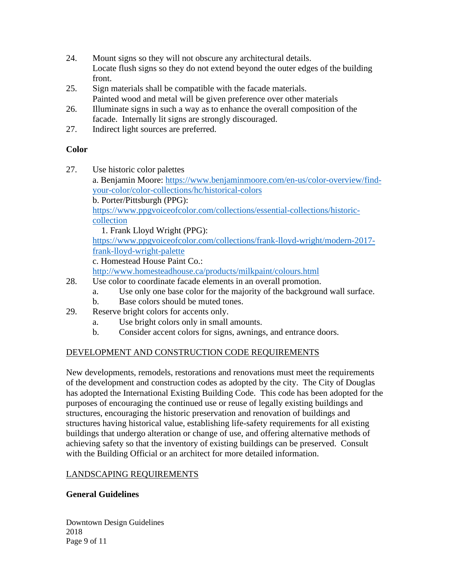- 24. Mount signs so they will not obscure any architectural details. Locate flush signs so they do not extend beyond the outer edges of the building front.
- 25. Sign materials shall be compatible with the facade materials. Painted wood and metal will be given preference over other materials
- 26. Illuminate signs in such a way as to enhance the overall composition of the facade. Internally lit signs are strongly discouraged.
- 27. Indirect light sources are preferred.

# **Color**

27. Use historic color palettes

a. Benjamin Moore: [https://www.benjaminmoore.com/en-us/color-overview/find](https://www.benjaminmoore.com/en-us/color-overview/find-your-color/color-collections/hc/historical-colors)[your-color/color-collections/hc/historical-colors](https://www.benjaminmoore.com/en-us/color-overview/find-your-color/color-collections/hc/historical-colors)

b. Porter/Pittsburgh (PPG):

[https://www.ppgvoiceofcolor.com/collections/essential-collections/historic](https://www.ppgvoiceofcolor.com/collections/essential-collections/historic-collection)[collection](https://www.ppgvoiceofcolor.com/collections/essential-collections/historic-collection)

1. Frank Lloyd Wright (PPG):

[https://www.ppgvoiceofcolor.com/collections/frank-lloyd-wright/modern-2017](https://www.ppgvoiceofcolor.com/collections/frank-lloyd-wright/modern-2017-frank-lloyd-wright-palette) [frank-lloyd-wright-palette](https://www.ppgvoiceofcolor.com/collections/frank-lloyd-wright/modern-2017-frank-lloyd-wright-palette)

c. Homestead House Paint Co.:

<http://www.homesteadhouse.ca/products/milkpaint/colours.html>

- 28. Use color to coordinate facade elements in an overall promotion.
	- a. Use only one base color for the majority of the background wall surface.
	- b. Base colors should be muted tones.
- 29. Reserve bright colors for accents only.
	- a. Use bright colors only in small amounts.
	- b. Consider accent colors for signs, awnings, and entrance doors.

# DEVELOPMENT AND CONSTRUCTION CODE REQUIREMENTS

New developments, remodels, restorations and renovations must meet the requirements of the development and construction codes as adopted by the city. The City of Douglas has adopted the International Existing Building Code. This code has been adopted for the purposes of encouraging the continued use or reuse of legally existing buildings and structures, encouraging the historic preservation and renovation of buildings and structures having historical value, establishing life-safety requirements for all existing buildings that undergo alteration or change of use, and offering alternative methods of achieving safety so that the inventory of existing buildings can be preserved. Consult with the Building Official or an architect for more detailed information.

# LANDSCAPING REQUIREMENTS

# **General Guidelines**

Downtown Design Guidelines 2018 Page 9 of 11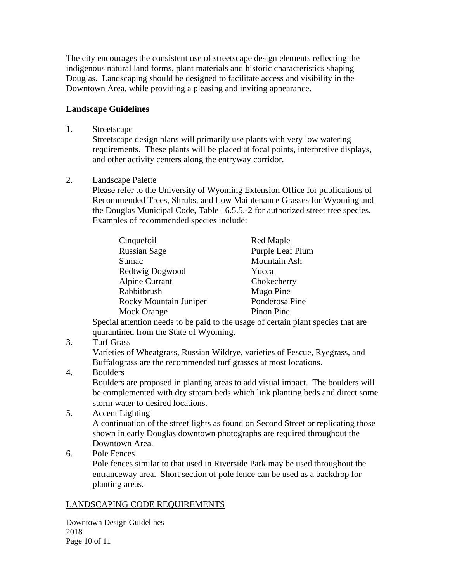The city encourages the consistent use of streetscape design elements reflecting the indigenous natural land forms, plant materials and historic characteristics shaping Douglas. Landscaping should be designed to facilitate access and visibility in the Downtown Area, while providing a pleasing and inviting appearance.

#### **Landscape Guidelines**

1. Streetscape

Streetscape design plans will primarily use plants with very low watering requirements. These plants will be placed at focal points, interpretive displays, and other activity centers along the entryway corridor.

2. Landscape Palette

Please refer to the University of Wyoming Extension Office for publications of Recommended Trees, Shrubs, and Low Maintenance Grasses for Wyoming and the Douglas Municipal Code, Table 16.5.5.-2 for authorized street tree species. Examples of recommended species include:

| Cinquefoil             | Red Maple        |
|------------------------|------------------|
| <b>Russian Sage</b>    | Purple Leaf Plum |
| Sumac                  | Mountain Ash     |
| Redtwig Dogwood        | Yucca            |
| Alpine Currant         | Chokecherry      |
| Rabbitbrush            | Mugo Pine        |
| Rocky Mountain Juniper | Ponderosa Pine   |
| Mock Orange            | Pinon Pine       |

Special attention needs to be paid to the usage of certain plant species that are quarantined from the State of Wyoming.

3. Turf Grass

Varieties of Wheatgrass, Russian Wildrye, varieties of Fescue, Ryegrass, and Buffalograss are the recommended turf grasses at most locations.

4. Boulders

Boulders are proposed in planting areas to add visual impact. The boulders will be complemented with dry stream beds which link planting beds and direct some storm water to desired locations.

5. Accent Lighting

A continuation of the street lights as found on Second Street or replicating those shown in early Douglas downtown photographs are required throughout the Downtown Area.

6. Pole Fences

Pole fences similar to that used in Riverside Park may be used throughout the entranceway area. Short section of pole fence can be used as a backdrop for planting areas.

# LANDSCAPING CODE REQUIREMENTS

Downtown Design Guidelines 2018 Page 10 of 11